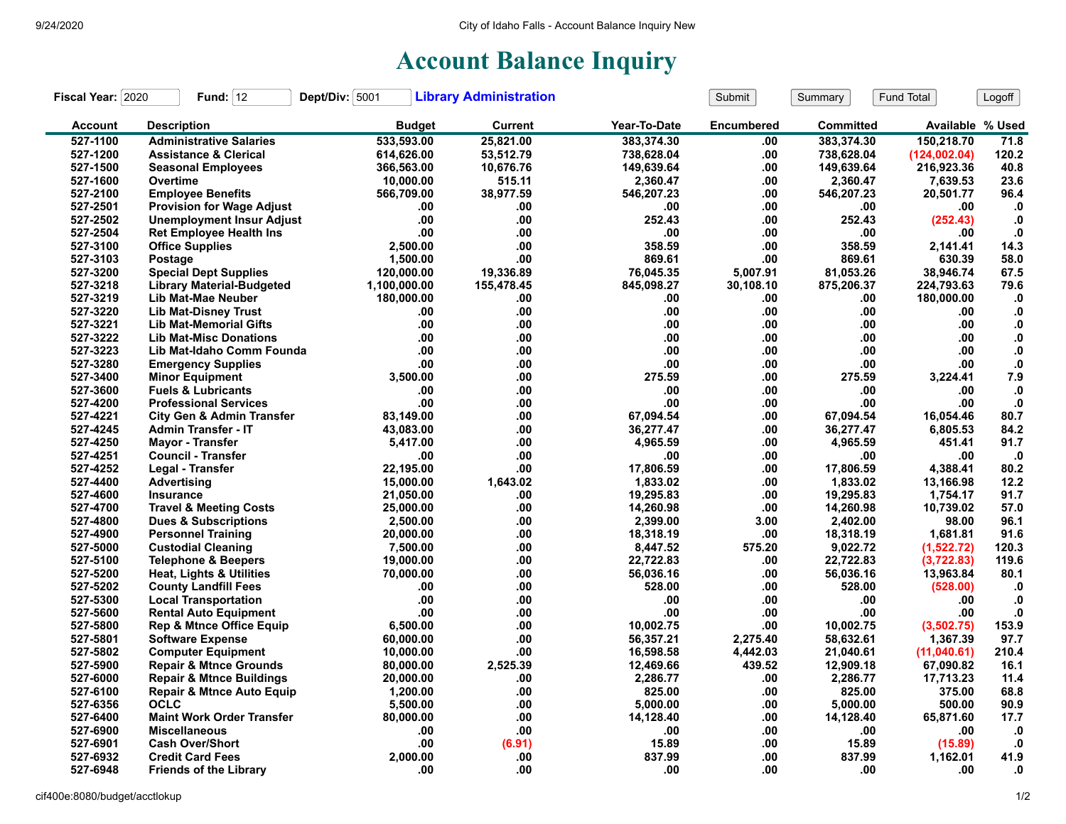## **Account Balance Inquiry**

| Fiscal Year: 2020 | Fund: $12$                           | Dept/Div: 5001 | <b>Library Administration</b> |              | Submit            | Summary          | Fund Total       | Logoff        |
|-------------------|--------------------------------------|----------------|-------------------------------|--------------|-------------------|------------------|------------------|---------------|
| <b>Account</b>    | <b>Description</b>                   | <b>Budget</b>  | <b>Current</b>                | Year-To-Date | <b>Encumbered</b> | <b>Committed</b> | Available % Used |               |
| 527-1100          | <b>Administrative Salaries</b>       | 533,593.00     | 25,821.00                     | 383,374.30   | .00               | 383.374.30       | 150,218.70       | 71.8          |
| 527-1200          | <b>Assistance &amp; Clerical</b>     | 614,626.00     | 53,512.79                     | 738,628.04   | .00               | 738,628.04       | (124,002.04)     | 120.2         |
| 527-1500          | <b>Seasonal Employees</b>            | 366,563.00     | 10,676.76                     | 149,639.64   | .00               | 149,639.64       | 216.923.36       | 40.8          |
| 527-1600          | Overtime                             | 10,000.00      | 515.11                        | 2,360.47     | .00               | 2,360.47         | 7,639.53         | 23.6          |
| 527-2100          | <b>Employee Benefits</b>             | 566,709.00     | 38,977.59                     | 546,207.23   | .00               | 546,207.23       | 20,501.77        | 96.4          |
| 527-2501          | <b>Provision for Wage Adjust</b>     | .00            | .00                           | .00          | .00               | .00              | .00              | $\cdot$       |
| 527-2502          | <b>Unemployment Insur Adjust</b>     | .00            | .00                           | 252.43       | .00               | 252.43           | (252.43)         | $\cdot$ 0     |
| 527-2504          | <b>Ret Employee Health Ins</b>       | .00            | .00                           | .00          | .00               | .00              | .00              | ${\bf .0}$    |
| 527-3100          | <b>Office Supplies</b>               | 2,500.00       | .00                           | 358.59       | .00               | 358.59           | 2,141.41         | 14.3          |
| 527-3103          | Postage                              | 1,500.00       | .00                           | 869.61       | .00               | 869.61           | 630.39           | 58.0          |
| 527-3200          | <b>Special Dept Supplies</b>         | 120.000.00     | 19.336.89                     | 76,045.35    | 5.007.91          | 81,053.26        | 38,946.74        | 67.5          |
| 527-3218          | <b>Library Material-Budgeted</b>     | 1,100,000.00   | 155,478.45                    | 845,098.27   | 30,108.10         | 875,206.37       | 224,793.63       | 79.6          |
| 527-3219          | Lib Mat-Mae Neuber                   | 180,000.00     | .00                           | .00          | .00               | .00              | 180,000.00       | $\mathbf{.0}$ |
| 527-3220          | <b>Lib Mat-Disney Trust</b>          | .00            | .00                           | .00          | .00               | .00              | .00              | $\mathbf{.0}$ |
| 527-3221          | <b>Lib Mat-Memorial Gifts</b>        | .00            | .00                           | .00.         | .00               | .00              | .00              | ${\bf .0}$    |
| 527-3222          | <b>Lib Mat-Misc Donations</b>        | .00            | .00                           | .00          | .00               | .00              | .00.             | $\mathbf{0}$  |
| 527-3223          | Lib Mat-Idaho Comm Founda            | .00            | .00                           | .00          | .00               | .00              | .00              | ${\bf .0}$    |
| 527-3280          | <b>Emergency Supplies</b>            | .00            | .00                           | .00.         | .00               | .00              | .00              | ${\bf .0}$    |
| 527-3400          | <b>Minor Equipment</b>               | 3.500.00       | .00                           | 275.59       | .00               | 275.59           | 3,224.41         | 7.9           |
| 527-3600          | <b>Fuels &amp; Lubricants</b>        | .00            | .00                           | .00          | .00               | .00              | .00              | $\cdot$       |
| 527-4200          | <b>Professional Services</b>         | .00            | .00                           | .00.         | .00               | .00              | .00              | $\cdot$       |
| 527-4221          | <b>City Gen &amp; Admin Transfer</b> | 83,149.00      | .00                           | 67,094.54    | .00               | 67,094.54        | 16.054.46        | 80.7          |
| 527-4245          | <b>Admin Transfer - IT</b>           | 43,083.00      | .00                           | 36,277.47    | .00               | 36,277.47        | 6,805.53         | 84.2          |
| 527-4250          | <b>Mavor - Transfer</b>              | 5,417.00       | .00                           | 4,965.59     | .00               | 4,965.59         | 451.41           | 91.7          |
| 527-4251          | <b>Council - Transfer</b>            | .00            | .00                           | .00          | .00               | .00              | .00              | $\cdot$       |
| 527-4252          | Legal - Transfer                     | 22,195.00      | .00                           | 17,806.59    | .00               | 17,806.59        | 4,388.41         | 80.2          |
| 527-4400          | <b>Advertising</b>                   | 15,000.00      | 1,643.02                      | 1,833.02     | .00               | 1,833.02         | 13,166.98        | 12.2          |
| 527-4600          | <b>Insurance</b>                     | 21,050.00      | .00                           | 19.295.83    | .00               | 19.295.83        | 1.754.17         | 91.7          |
| 527-4700          | <b>Travel &amp; Meeting Costs</b>    | 25,000.00      | .00                           | 14,260.98    | .00               | 14,260.98        | 10,739.02        | 57.0          |
| 527-4800          | <b>Dues &amp; Subscriptions</b>      | 2,500.00       | .00                           | 2,399.00     | 3.00              | 2,402.00         | 98.00            | 96.1          |
| 527-4900          | <b>Personnel Training</b>            | 20,000.00      | .00                           | 18,318.19    | .00               | 18,318.19        | 1,681.81         | 91.6          |
| 527-5000          | <b>Custodial Cleaning</b>            | 7.500.00       | .00                           | 8,447.52     | 575.20            | 9,022.72         | (1,522.72)       | 120.3         |
| 527-5100          | <b>Telephone &amp; Beepers</b>       | 19,000.00      | .00                           | 22,722.83    | .00               | 22,722.83        | (3,722.83)       | 119.6         |
| 527-5200          | Heat, Lights & Utilities             | 70,000.00      | .00                           | 56,036.16    | .00               | 56,036.16        | 13,963.84        | 80.1          |
| 527-5202          | <b>County Landfill Fees</b>          | .00            | .00                           | 528.00       | .00               | 528.00           | (528.00)         | .0            |
| 527-5300          | <b>Local Transportation</b>          | .00            | .00                           | .00          | .00               | .00              | .00              | $\mathbf{0}$  |
| 527-5600          | <b>Rental Auto Equipment</b>         | .00            | .00                           | .00          | .00               | .00              | .00              | ${\bf .0}$    |
| 527-5800          | <b>Rep &amp; Mtnce Office Equip</b>  | 6,500.00       | .00                           | 10,002.75    | .00               | 10,002.75        | (3,502.75)       | 153.9         |
| 527-5801          | <b>Software Expense</b>              | 60,000.00      | .00                           | 56,357.21    | 2,275.40          | 58,632.61        | 1,367.39         | 97.7          |
| 527-5802          | <b>Computer Equipment</b>            | 10,000.00      | .00                           | 16,598.58    | 4,442.03          | 21,040.61        | (11,040.61)      | 210.4         |
| 527-5900          | <b>Repair &amp; Mtnce Grounds</b>    | 80,000.00      | 2,525.39                      | 12,469.66    | 439.52            | 12,909.18        | 67,090.82        | 16.1          |
| 527-6000          | <b>Repair &amp; Mtnce Buildings</b>  | 20,000.00      | .00                           | 2,286.77     | .00               | 2,286.77         | 17,713.23        | 11.4          |
| 527-6100          | <b>Repair &amp; Mtnce Auto Equip</b> | 1,200.00       | .00                           | 825.00       | .00               | 825.00           | 375.00           | 68.8          |
| 527-6356          | <b>OCLC</b>                          | 5,500.00       | .00                           | 5,000.00     | .00               | 5,000.00         | 500.00           | 90.9          |
| 527-6400          | <b>Maint Work Order Transfer</b>     | 80,000.00      | .00                           | 14,128.40    | .00               | 14,128.40        | 65,871.60        | 17.7          |
| 527-6900          | <b>Miscellaneous</b>                 | .00            | .00                           | .00          | .00               | .00              | .00              | $\cdot$ 0     |
| 527-6901          | <b>Cash Over/Short</b>               | .00            | (6.91)                        | 15.89        | .00               | 15.89            | (15.89)          | $\cdot$       |
| 527-6932          | <b>Credit Card Fees</b>              | 2,000.00       | .00                           | 837.99       | .00               | 837.99           | 1,162.01         | 41.9          |
| 527-6948          | <b>Friends of the Library</b>        | .00            | .00                           | .00.         | .00               | .00              | .00              | $\mathbf{0}$  |